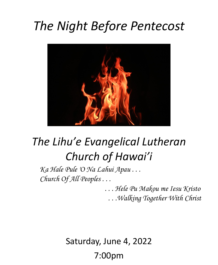# *The Night Before Pentecost*



# *The Lihu'e Evangelical Lutheran Church of Hawai'i*

*Ka Hale Pule 'O Na Lahui Apau . . . Church Of All Peoples . . .*

> *. . . Hele Pu Makou me Iesu Kristo . . .Walking Together With Christ*

Saturday, June 4, 2022 7:00pm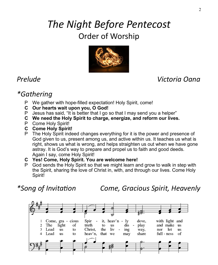# *The Night Before Pentecost* Order of Worship



*Prelude Victoria Oana*

# *\*Gathering*

- P We gather with hope-filled expectation! Holy Spirit, come!
- **C Our hearts wait upon you, O God!**
- P Jesus has said, "It is better that I go so that I may send you a helper"
- **C We need the Holy Spirit to charge, energize, and reform our lives.**
- P Come Holy Spirit!
- **C Come Holy Spirit!**
- P The Holy Spirit indeed changes everything for it is the power and presence of God given to us, present among us, and active within us. It teaches us what is right, shows us what is wrong, and helps straighten us out when we have gone astray. It is God's way to prepare and propel us to faith and good deeds. Again I say, come Holy Spirit!
- **C Yes! Come, Holy Spirit. You are welcome here!**
- P God sends the Holy Spirit so that we might learn and grow to walk in step with the Spirit, sharing the love of Christ in, with, and through our lives. Come Holy Spirit!

*\*Song of Invitation Come, Gracious Spirit, Heavenly* 

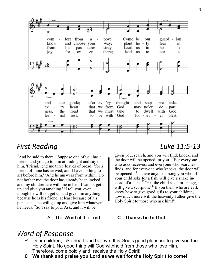

 $<sup>5</sup>$ And he said to them, "Suppose one of you has a</sup> friend, and you go to him at midnight and say to him, 'Friend, lend me three loaves of bread; <sup>6</sup>for a friend of mine has arrived, and I have nothing to set before him.<sup>'</sup> And he answers from within. 'Do not bother me; the door has already been locked, and my children are with me in bed; I cannot get up and give you anything.' <sup>8</sup>I tell you, even though he will not get up and give him anything because he is his friend, at least because of his persistence he will get up and give him whatever he needs. <sup>9</sup>So I say to you, Ask, and it will be

A The Word of the Lord **C Thanks be to God.**

### *First Reading Luke 11:5-13*

given you; search, and you will find; knock, and the door will be opened for you.  $^{10}$ For everyone who asks receives, and everyone who searches finds, and for everyone who knocks, the door will be opened. <sup>11</sup>Is there anyone among you who, if your child asks for a fish, will give a snake instead of a fish?  $^{12}$ Or if the child asks for an egg, will give a scorpion?  $^{13}$ If you then, who are evil, know how to give good gifts to your children, how much more will the heavenly Father give the Holy Spirit to those who ask him!"

### *Word of Response*

- P Dear children, take heart and believe. It is God's good pleasure to give you the Holy Spirit. No good thing will God withhold from those who love Him. Therefore, come boldly and receive the Holy Spirit!
- **C We thank and praise you Lord as we wait for the Holy Spirit to come!**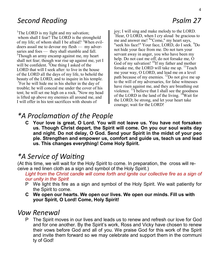## **Second Reading Psalm 27**

<sup>1</sup>The LORD is my light and my salvation; whom shall I fear? The LORD is the stronghold of my life; of whom shall I be afraid? <sup>2</sup>When evildoers assail me to devour my flesh — my adversaries and foes — they shall stumble and fall. <sup>3</sup>Though an army encamp against me, my heart shall not fear; though war rise up against me, yet I will be confident. <sup>4</sup>One thing I asked of the LORD that will I seek after: to live in the house of the LORD all the days of my life, to behold the beauty of the LORD, and to inquire in his temple. <sup>5</sup>For he will hide me in his shelter in the day of trouble; he will conceal me under the cover of his tent; he will set me high on a rock. <sup>6</sup>Now my head is lifted up above my enemies all around me, and I will offer in his tent sacrifices with shouts of

joy; I will sing and make melody to the LORD. <sup>7</sup>Hear, O LORD, when I cry aloud be gracious to me and answer me! <sup>8</sup>"Come," my heart says, "seek his face!" Your face, LORD, do I seek. <sup>9</sup>Do not hide your face from me. Do not turn your servant away in anger, you who have been my help. Do not cast me off, do not forsake me, O God of my salvation!  ${}^{10}$ If my father and mother forsake me, the LORD will take me up.  $\rm{^{11}Teach}$ me your way, O LORD, and lead me on a level path because of my enemies.  $^{12}$ Do not give me up to the will of my adversaries, for false witnesses have risen against me, and they are breathing out violence.  $^{13}$ I believe that I shall see the goodness of the LORD in the land of the living.  $14$ <sup>T</sup>Wait for the LORD; be strong, and let your heart take courage; wait for the LORD!

## *\*A Proclamation of the People*

**C Your love is great, O Lord. You will not leave us. You have not forsaken us. Though Christ depart, the Spirit will come. On you our soul waits day and night. Do not delay, O God. Send your Spirit in the midst of your peo ple. Strengthen and empower us, comfort and guide us, teach us and lead us. This changes everything! Come Holy Spirit.**

## *\*A Service of Waiting*

(At this time, we will wait for the Holy Spirit to come. In preparation, the cross will receive a red linen cloth as a sign and symbol of the Holy Spirit.)

Light from the Christ candle will come forth and ignite our collective fire as a sign of *our unity in the Spirit*

- P We light this fire as a sign and symbol of the Holy Spirit. We wait patiently for the Spirit to come.
- **C We open our hearts. We open our lives. We open our minds. Fill us with your Spirit, O Lord! Come, Holy Spirit!**

### *Vow Renewal*

P The Spirit moves in our lives and leads us to renew and refresh our love for God and for one another. By the Spirit's work, Ross and Vicky have chosen to renew their vows before God and all of you. We praise God for this work of the Spirit and invite them forward so we may celebrate and support them in the communi ty of God!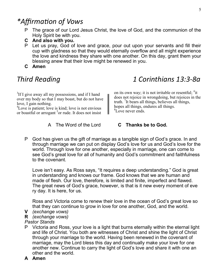## *\*Affirmation of Vows*

- P The grace of our Lord Jesus Christ, the love of God, and the communion of the Holy Spirit be with you.
- **C And also with you.**
- P Let us pray, God of love and grace, pour out upon your servants and fill their cup with gladness so that they would eternally overflow and all might experience the love and kindness they share with one another. On this day, grant them your blessing anew that their love might be renewed in you.
- **C Amen**

## *Third Reading 1 Corinthians 13:3-8a*

 ${}^{3}$ If I give away all my possessions, and if I hand over my body so that I may boast, but do not have love, I gain nothing.

<sup>4</sup>Love is patient; love is kind; love is not envious or boastful or arrogant <sup>5</sup> or rude. It does not insist

A The Word of the Lord **C Thanks be to God.**

on its own way; it is not irritable or resentful;  $^{6}$ it does not rejoice in wrongdoing, but rejoices in the truth. <sup>7</sup>It bears all things, believes all things, hopes all things, endures all things. <sup>8</sup>Love never ends.

- 
- P God has given us the gift of marriage as a tangible sign of God's grace. In and through marriage we can put on display God's love for us and God's love for the world. Through love for one another, especially in marriage, one can come to see God's great love for all of humanity and God's commitment and faithfulness to the covenant.

Love isn't easy. As Ross says, "It requires a deep understanding." God is great in understanding and knows our frame. God knows that we are human and made of flesh. Our love, therefore, is limited and finite, imperfect and flawed. The great news of God's grace, however, is that is it new every moment of eve ry day. It is here, for us.

Ross and Victoria come to renew their love in the ocean of God's great love so that they can continue to grow in love for one another, God, and the world.

- **V** *(exchange vows)*
- **R** *(exchange vows)*

#### *Pastor Stands*

- P Victoria and Ross, your love is a light that burns eternally within the eternal light and life of Christ. You both are witnesses of Christ and shine the light of Christ through your marriage to the world. Having been renewed in the covenant of marriage, may the Lord bless this day and continually make your love for one another new. Continue to carry the light of God's love and share it with one an other and the world.
- **A Amen**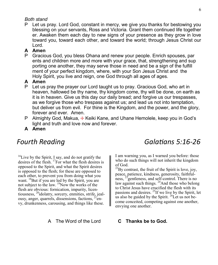#### *Both stand*

P Let us pray. Lord God, constant in mercy, we give you thanks for bestowing you blessing on your servants, Ross and Victoria. Grant them continued life together er. Awaken them each day to new signs of your presence as they grow in love toward you, toward each other, and toward the world; through Jesus Christ our Lord.

#### **A Amen**

P Gracious God, you bless Ohana and renew your people. Enrich spouses, par ents and children more and more with your grace, that, strengthening and sup porting one another, they may serve those in need and be a sign of the fulfill ment of your perfect kingdom, where, with your Son Jesus Christ and the Holy Spirit, you live and reign, one God through all ages of ages.

#### **A Amen**

- P Let us pray the prayer our Lord taught us to pray. Gracious God, who art in heaven, hallowed be thy name, thy kingdom come, thy will be done, on earth as it is in heaven. Give us this day our daily bread; and forgive us our trespasses, as we forgive those who trespass against us; and lead us not into temptation, but deliver us from evil. For thine is the Kingdom, and the power, and the glory, forever and ever. Amen.
- P Almighty God, Makua,  $\frac{1}{2}$  Keiki Kane, and Uhane Hemolele, keep you in God's light and truth and love now and forever.
- **A Amen**

 $16$ Live by the Spirit, I say, and do not gratify the desires of the flesh. <sup>17</sup>For what the flesh desires is opposed to the Spirit, and what the Spirit desires is opposed to the flesh; for these are opposed to each other, to prevent you from doing what you want.  $^{18}$ But if you are led by the Spirit, you are not subject to the law.  $\frac{19}{2}$ Now the works of the flesh are obvious: fornication, impurity, licentiousness, <sup>20</sup>idolatry, sorcery, enmities, strife, jealousy, anger, quarrels, dissensions, factions,  $^{21}$ envy, drunkenness, carousing, and things like these.

A The Word of the Lord **C Thanks be to God.**

## *Fourth Reading Galatians 5:16-26*

I am warning you, as I warned you before: those who do such things will not inherit the kingdom of God.

 $^{22}$ By contrast, the fruit of the Spirit is love, joy, peace, patience, kindness, generosity, faithfulness, <sup>23</sup> gentleness, and self-control. There is no law against such things. <sup>24</sup>And those who belong to Christ Jesus have crucified the flesh with its passions and desires. <sup>25</sup>If we live by the Spirit, let us also be guided by the Spirit.  $^{26}$ Let us not become conceited, competing against one another, envying one another.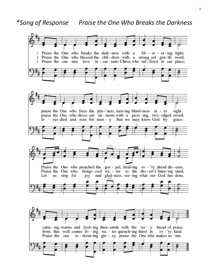